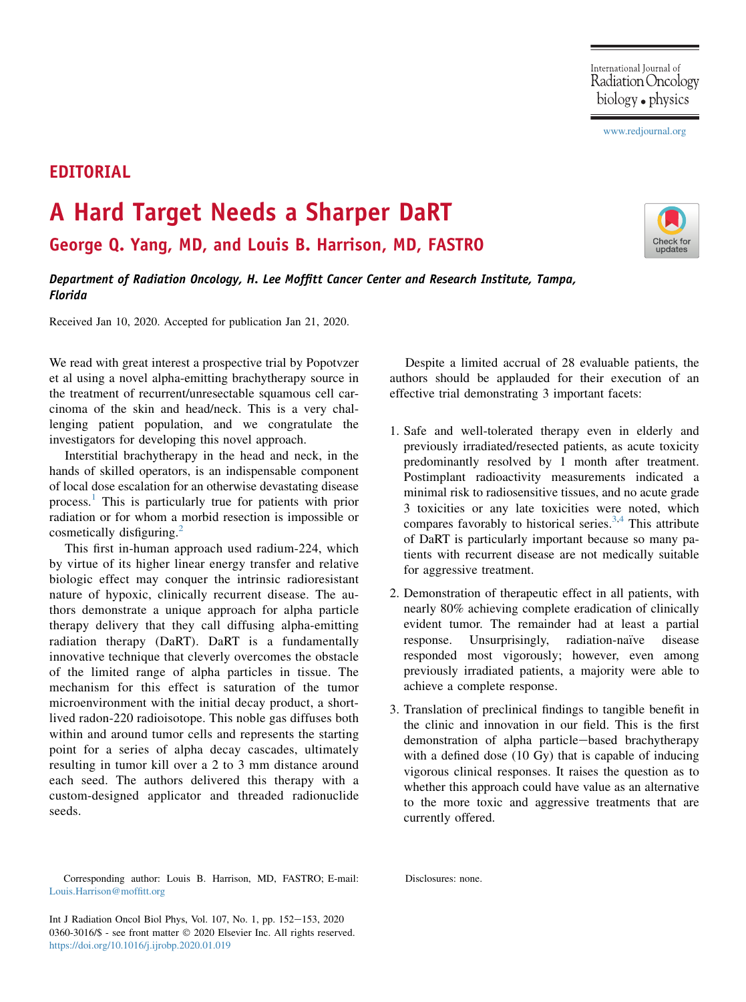## [www.redjournal.org](http://www.redjournal.org)

## EDITORIAL

## A Hard Target Needs a Sharper DaRT

George Q. Yang, MD, and Louis B. Harrison, MD, FASTRO

Department of Radiation Oncology, H. Lee Moffitt Cancer Center and Research Institute, Tampa, Florida

Received Jan 10, 2020. Accepted for publication Jan 21, 2020.

We read with great interest a prospective trial by Popotvzer et al using a novel alpha-emitting brachytherapy source in the treatment of recurrent/unresectable squamous cell carcinoma of the skin and head/neck. This is a very challenging patient population, and we congratulate the investigators for developing this novel approach.

Interstitial brachytherapy in the head and neck, in the hands of skilled operators, is an indispensable component of local dose escalation for an otherwise devastating disease process.[1](#page-1-0) This is particularly true for patients with prior radiation or for whom a morbid resection is impossible or cosmetically disfiguring.<sup>[2](#page-1-1)</sup>

This first in-human approach used radium-224, which by virtue of its higher linear energy transfer and relative biologic effect may conquer the intrinsic radioresistant nature of hypoxic, clinically recurrent disease. The authors demonstrate a unique approach for alpha particle therapy delivery that they call diffusing alpha-emitting radiation therapy (DaRT). DaRT is a fundamentally innovative technique that cleverly overcomes the obstacle of the limited range of alpha particles in tissue. The mechanism for this effect is saturation of the tumor microenvironment with the initial decay product, a shortlived radon-220 radioisotope. This noble gas diffuses both within and around tumor cells and represents the starting point for a series of alpha decay cascades, ultimately resulting in tumor kill over a 2 to 3 mm distance around each seed. The authors delivered this therapy with a custom-designed applicator and threaded radionuclide seeds.

Corresponding author: Louis B. Harrison, MD, FASTRO; E-mail: [Louis.Harrison@moffitt.org](mailto:Louis.Harrison@moffitt.org)

Int J Radiation Oncol Biol Phys, Vol. 107, No. 1, pp. 152-153, 2020 0360-3016/\$ - see front matter © 2020 Elsevier Inc. All rights reserved. <https://doi.org/10.1016/j.ijrobp.2020.01.019>

Despite a limited accrual of 28 evaluable patients, the authors should be applauded for their execution of an effective trial demonstrating 3 important facets:

- 1. Safe and well-tolerated therapy even in elderly and previously irradiated/resected patients, as acute toxicity predominantly resolved by 1 month after treatment. Postimplant radioactivity measurements indicated a minimal risk to radiosensitive tissues, and no acute grade 3 toxicities or any late toxicities were noted, which compares favorably to historical series. $3,4$  $3,4$  This attribute of DaRT is particularly important because so many patients with recurrent disease are not medically suitable for aggressive treatment.
- 2. Demonstration of therapeutic effect in all patients, with nearly 80% achieving complete eradication of clinically evident tumor. The remainder had at least a partial response. Unsurprisingly, radiation-naïve disease responded most vigorously; however, even among previously irradiated patients, a majority were able to achieve a complete response.
- 3. Translation of preclinical findings to tangible benefit in the clinic and innovation in our field. This is the first demonstration of alpha particle-based brachytherapy with a defined dose (10 Gy) that is capable of inducing vigorous clinical responses. It raises the question as to whether this approach could have value as an alternative to the more toxic and aggressive treatments that are currently offered.

Disclosures: none.